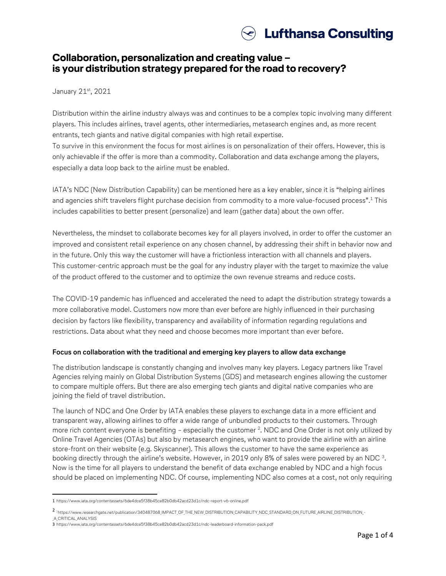

# **Collaboration, personalization and creating value – is your distribution strategy prepared for the road to recovery?**

January 21st, 2021

Distribution within the airline industry always was and continues to be a complex topic involving many different players. This includes airlines, travel agents, other intermediaries, metasearch engines and, as more recent entrants, tech giants and native digital companies with high retail expertise. To survive in this environment the focus for most airlines is on personalization of their offers. However, this is only achievable if the offer is more than a commodity. Collaboration and data exchange among the players, especially a data loop back to the airline must be enabled.

IATA's NDC (New Distribution Capability) can be mentioned here as a key enabler, since it is "helping airlines and agencies shift travelers flight purchase decision from commodity to a more value-focused process". <sup>1</sup> This includes capabilities to better present (personalize) and learn (gather data) about the own offer.

Nevertheless, the mindset to collaborate becomes key for all players involved, in order to offer the customer an improved and consistent retail experience on any chosen channel, by addressing their shift in behavior now and in the future. Only this way the customer will have a frictionless interaction with all channels and players. This customer-centric approach must be the goal for any industry player with the target to maximize the value of the product offered to the customer and to optimize the own revenue streams and reduce costs.

The COVID-19 pandemic has influenced and accelerated the need to adapt the distribution strategy towards a more collaborative model. Customers now more than ever before are highly influenced in their purchasing decision by factors like flexibility, transparency and availability of information regarding regulations and restrictions. Data about what they need and choose becomes more important than ever before.

### **Focus on collaboration with the traditional and emerging key players to allow data exchange**

The distribution landscape is constantly changing and involves many key players. Legacy partners like Travel Agencies relying mainly on Global Distribution Systems (GDS) and metasearch engines allowing the customer to compare multiple offers. But there are also emerging tech giants and digital native companies who are joining the field of travel distribution.

The launch of NDC and One Order by IATA enables these players to exchange data in a more efficient and transparent way, allowing airlines to offer a wide range of unbundled products to their customers. Through more rich content everyone is benefiting - especially the customer  $^2$ . NDC and One Order is not only utilized by Online Travel Agencies (OTAs) but also by metasearch engines, who want to provide the airline with an airline store-front on their website (e.g. Skyscanner). This allows the customer to have the same experience as booking directly through the airline's website. However, in 2019 only 8% of sales were powered by an NDC  $^3$ . Now is the time for all players to understand the benefit of data exchange enabled by NDC and a high focus should be placed on implementing NDC. Of course, implementing NDC also comes at a cost, not only requiring

 $\overline{\phantom{a}}$ 

<sup>1</sup> https://www.iata.org/contentassets/6de4dce5f38b45ce82b0db42acd23d1c/ndc-report-v6-online.pdf

<sup>2</sup> ) https://www.researchgate.net/publication/340487068\_IMPACT\_OF\_THE\_NEW\_DISTRIBUTION\_CAPABILITY\_NDC\_STANDARD\_ON\_FUTURE\_AIRLINE\_DISTRIBUTION\_- \_A\_CRITICAL\_ANALYSIS

<sup>3</sup> https://www.iata.org/contentassets/6de4dce5f38b45ce82b0db42acd23d1c/ndc-leaderboard-information-pack.pdf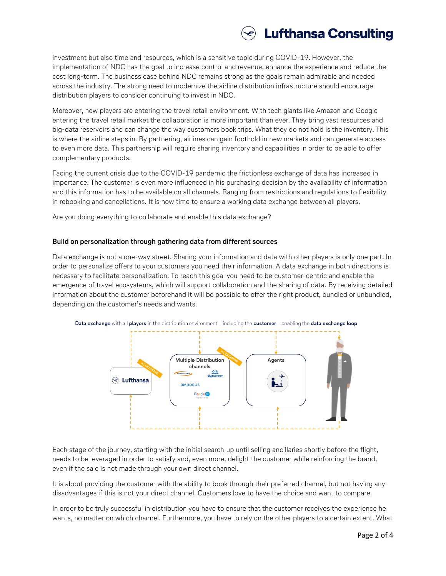# **Lufthansa Consulting**

investment but also time and resources, which is a sensitive topic during COVID-19. However, the implementation of NDC has the goal to increase control and revenue, enhance the experience and reduce the cost long-term. The business case behind NDC remains strong as the goals remain admirable and needed across the industry. The strong need to modernize the airline distribution infrastructure should encourage distribution players to consider continuing to invest in NDC.

Moreover, new players are entering the travel retail environment. With tech giants like Amazon and Google entering the travel retail market the collaboration is more important than ever. They bring vast resources and big-data reservoirs and can change the way customers book trips. What they do not hold is the inventory. This is where the airline steps in. By partnering, airlines can gain foothold in new markets and can generate access to even more data. This partnership will require sharing inventory and capabilities in order to be able to offer complementary products.

Facing the current crisis due to the COVID-19 pandemic the frictionless exchange of data has increased in importance. The customer is even more influenced in his purchasing decision by the availability of information and this information has to be available on all channels. Ranging from restrictions and regulations to flexibility in rebooking and cancellations. It is now time to ensure a working data exchange between all players.

Are you doing everything to collaborate and enable this data exchange?

#### **Build on personalization through gathering data from different sources**

Data exchange is not a one-way street. Sharing your information and data with other players is only one part. In order to personalize offers to your customers you need their information. A data exchange in both directions is necessary to facilitate personalization. To reach this goal you need to be customer-centric and enable the emergence of travel ecosystems, which will support collaboration and the sharing of data. By receiving detailed information about the customer beforehand it will be possible to offer the right product, bundled or unbundled, depending on the customer's needs and wants.



Data exchange with all players in the distribution environment - including the customer - enabling the data exchange loop

Each stage of the journey, starting with the initial search up until selling ancillaries shortly before the flight, needs to be leveraged in order to satisfy and, even more, delight the customer while reinforcing the brand, even if the sale is not made through your own direct channel.

It is about providing the customer with the ability to book through their preferred channel, but not having any disadvantages if this is not your direct channel. Customers love to have the choice and want to compare.

In order to be truly successful in distribution you have to ensure that the customer receives the experience he wants, no matter on which channel. Furthermore, you have to rely on the other players to a certain extent. What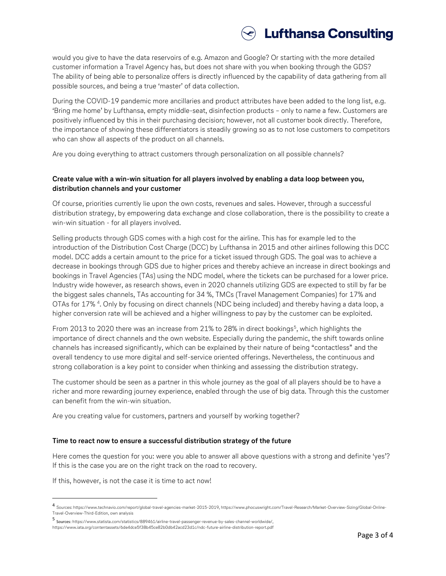

would you give to have the data reservoirs of e.g. Amazon and Google? Or starting with the more detailed customer information a Travel Agency has, but does not share with you when booking through the GDS? The ability of being able to personalize offers is directly influenced by the capability of data gathering from all possible sources, and being a true 'master' of data collection.

During the COVID-19 pandemic more ancillaries and product attributes have been added to the long list, e.g. 'Bring me home' by Lufthansa, empty middle-seat, disinfection products – only to name a few. Customers are positively influenced by this in their purchasing decision; however, not all customer book directly. Therefore, the importance of showing these differentiators is steadily growing so as to not lose customers to competitors who can show all aspects of the product on all channels.

Are you doing everything to attract customers through personalization on all possible channels?

## **Create value with a win-win situation for all players involved by enabling a data loop between you, distribution channels and your customer**

Of course, priorities currently lie upon the own costs, revenues and sales. However, through a successful distribution strategy, by empowering data exchange and close collaboration, there is the possibility to create a win-win situation - for all players involved.

Selling products through GDS comes with a high cost for the airline. This has for example led to the introduction of the Distribution Cost Charge (DCC) by Lufthansa in 2015 and other airlines following this DCC model. DCC adds a certain amount to the price for a ticket issued through GDS. The goal was to achieve a decrease in bookings through GDS due to higher prices and thereby achieve an increase in direct bookings and bookings in Travel Agencies (TAs) using the NDC model, where the tickets can be purchased for a lower price. Industry wide however, as research shows, even in 2020 channels utilizing GDS are expected to still by far be the biggest sales channels, TAs accounting for 34 %, TMCs (Travel Management Companies) for 17% and OTAs for 17% <sup>4</sup> . Only by focusing on direct channels (NDC being included) and thereby having a data loop, a higher conversion rate will be achieved and a higher willingness to pay by the customer can be exploited.

From 2013 to 2020 there was an increase from 21% to 28% in direct bookings $^5$ , which highlights the importance of direct channels and the own website. Especially during the pandemic, the shift towards online channels has increased significantly, which can be explained by their nature of being "contactless" and the overall tendency to use more digital and self-service oriented offerings. Nevertheless, the continuous and strong collaboration is a key point to consider when thinking and assessing the distribution strategy.

The customer should be seen as a partner in this whole journey as the goal of all players should be to have a richer and more rewarding journey experience, enabled through the use of big data. Through this the customer can benefit from the win-win situation.

Are you creating value for customers, partners and yourself by working together?

#### **Time to react now to ensure a successful distribution strategy of the future**

Here comes the question for you: were you able to answer all above questions with a strong and definite 'yes'? If this is the case you are on the right track on the road to recovery.

If this, however, is not the case it is time to act now!

 $\overline{\phantom{a}}$ 

<sup>4</sup> Sources: https://www.technavio.com/report/global-travel-agencies-market-2015-2019, https://www.phocuswright.com/Travel-Research/Market-Overview-Sizing/Global-Online-Travel-Overview-Third-Edition, own analysis

<sup>5</sup> Sources: https://www.statista.com/statistics/889461/airline-travel-passenger-revenue-by-sales-channel-worldwide/,

https://www.iata.org/contentassets/6de4dce5f38b45ce82b0db42acd23d1c/ndc-future-airline-distribution-report.pdf